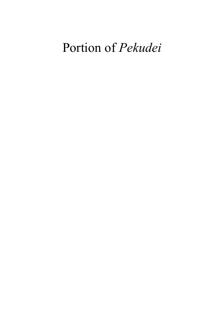# Portion of Pekudei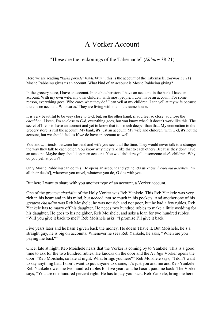### A Vorker Account

#### "These are the reckonings of the Tabernacle" (Sh'mos 38:21)

Here we are reading "Eileh pekudei haMishkan"; this is the account of the Tabernacle. (Sh'mos 38:21) Moshe Rabbeinu gives us an account. What kind of an account is Moshe Rabbeinu giving?

In the grocery store, I have an account. In the butcher store I have an account, in the bank I have an account. With my own wife, my own children, with most people, I don't have an account. For some reason, everything goes. Who cares what they do? I can yell at my children. I can yell at my wife because there is no account. Who cares? They are living with me in the same house.

It is very beautiful to be very close to G-d, but, on the other hand, if you feel so close, you lose the cheshbon. Listen, I'm so close to G-d, everything goes, but you know what? It doesn't work like this. The secret of life is to have an account and yet to know that it is much deeper than that. My connection to the grocery store is just the account. My bank, it's just an account. My wife and children, with G-d, it's not the account, but we should feel as if we do have an account as well.

You know, friends, between husband and wife you see it all the time. They would never talk to a stranger the way they talk to each other. You know why they talk like that to each other? Because they don't have an account. Maybe they should open an account. You wouldn't dare yell at someone else's children. Why do you yell at yours?

Only Moshe Rabbeinu can do this. He opens an account and yet he lets us know, *b'chol ma'a-seihem* ['in all their deeds'], wherever you travel, whatever you do, G-d is with you.

But here I want to share with you another type of an account, a Vorker account.

One of the greatest chasidim of the Holy Vorker was Reb Yankele. This Reb Yankele was very rich in his heart and in his mind, but nebech, not so much in his pockets. And another one of his greatest chasidim was Reb Moishele; he was not rich and not poor, but he had a few rubles. Reb Yankele has to marry off his daughter. He needs two hundred rubles to make a little wedding for his daughter. He goes to his neighbor, Reb Moishele, and asks a loan for two hundred rubles. "Will you give it back to me?" Reb Moishele asks. "I promise I'll give it back."

Five years later and he hasn't given back the money. He doesn't have it. But Moishele, he's a straight guy, he is big on accounts. Whenever he sees Reb Yankele, he asks, "When are you paying me back?"

Once, late at night, Reb Moishele hears that the Vorker is coming by to Yankele. This is a good time to ask for the two hundred rubles. He knocks on the door and the Heilige Vorker opens the door. "Reb Moishele, so late at night. What brings you here?" Reb Moishele says, "I don't want to say anything bad, I don't want to put anyone to shame, it's just you and me and Reb Yankele. Reb Yankele owes me two hundred rubles for five years and he hasn't paid me back. The Vorker says, "You are one hundred percent right. He has to pay you back. Reb Yankele, bring me here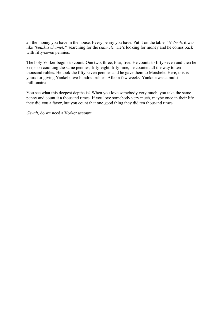all the money you have in the house. Every penny you have. Put it on the table." Nebech, it was like "bedikas chametz" 'searching for the *chametz*.' He's looking for money and he comes back with fifty-seven pennies.

The holy Vorker begins to count. One two, three, four, five. He counts to fifty-seven and then he keeps on counting the same pennies, fifty-eight, fifty-nine, he counted all the way to ten thousand rubles. He took the fifty-seven pennies and he gave them to Moishele. Here, this is yours for giving Yankele two hundred rubles. After a few weeks, Yankele was a multimillionaire.

You see what this deepest depths is? When you love somebody very much, you take the same penny and count it a thousand times. If you love somebody very much, maybe once in their life they did you a favor, but you count that one good thing they did ten thousand times.

Gevalt, do we need a Vorker account.